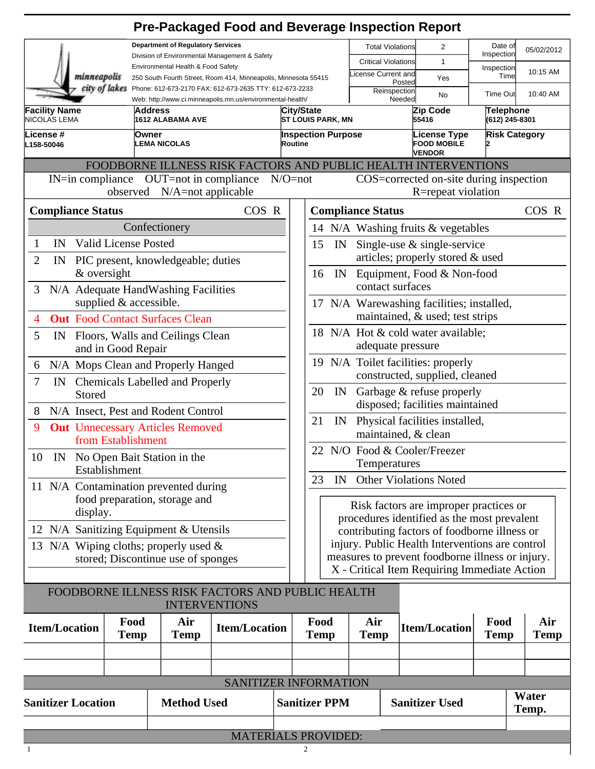|                                                                                                                                        |                                     |                       | <b>Pre-Packaged Food and Beverage Inspection Report</b>                  |                                                         |                                                                                                                                                |                                                                              |                                                                             |                                    |                    |  |  |
|----------------------------------------------------------------------------------------------------------------------------------------|-------------------------------------|-----------------------|--------------------------------------------------------------------------|---------------------------------------------------------|------------------------------------------------------------------------------------------------------------------------------------------------|------------------------------------------------------------------------------|-----------------------------------------------------------------------------|------------------------------------|--------------------|--|--|
| <b>Department of Regulatory Services</b>                                                                                               |                                     |                       |                                                                          |                                                         | <b>Total Violations</b>                                                                                                                        | 2                                                                            | Date of                                                                     | 05/02/2012                         |                    |  |  |
| Division of Environmental Management & Safety<br>Environmental Health & Food Safety                                                    |                                     |                       |                                                                          |                                                         | <b>Critical Violations</b>                                                                                                                     | $\mathbf{1}$                                                                 | Inspection<br>Inspection                                                    |                                    |                    |  |  |
| minneapolis<br>250 South Fourth Street, Room 414, Minneapolis, Minnesota 55415                                                         |                                     |                       |                                                                          |                                                         | icense Current and                                                                                                                             | Yes<br>Posted                                                                | Time                                                                        | 10:15 AM                           |                    |  |  |
| city of lakes<br>Phone: 612-673-2170 FAX: 612-673-2635 TTY: 612-673-2233<br>Web: http://www.ci.minneapolis.mn.us/environmental-health/ |                                     |                       |                                                                          |                                                         |                                                                                                                                                | Reinspection                                                                 | No<br>Needed                                                                | Time Out                           | 10:40 AM           |  |  |
| <b>Facility Name</b><br>Address<br>NICOLAS LEMA<br>1612 ALABAMA AVE                                                                    |                                     |                       |                                                                          | City/State<br>ST LOUIS PARK, MN                         |                                                                                                                                                |                                                                              | Zip Code<br>55416                                                           | <b>Telephone</b><br>(612) 245-8301 |                    |  |  |
| License #<br><b>Owner</b><br>L158-50046                                                                                                |                                     | <b>LEMA NICOLAS</b>   |                                                                          | <b>Inspection Purpose</b><br>Routine                    |                                                                                                                                                |                                                                              | License Type<br><b>Risk Category</b><br><b>FOOD MOBILE</b><br><b>VENDOR</b> |                                    |                    |  |  |
|                                                                                                                                        |                                     |                       | FOODBORNE ILLNESS RISK FACTORS AND PUBLIC HEALTH INTERVENTIONS           |                                                         |                                                                                                                                                |                                                                              |                                                                             |                                    |                    |  |  |
| $IN=\infty$ in compliance                                                                                                              | observed N/A=not applicable         | OUT=not in compliance |                                                                          | $N/O = not$                                             |                                                                                                                                                |                                                                              | COS=corrected on-site during inspection<br>R=repeat violation               |                                    |                    |  |  |
| <b>Compliance Status</b>                                                                                                               |                                     |                       | COS R                                                                    |                                                         |                                                                                                                                                | <b>Compliance Status</b>                                                     |                                                                             |                                    | COS R              |  |  |
|                                                                                                                                        | Confectionery                       |                       |                                                                          |                                                         | 14 N/A Washing fruits & vegetables                                                                                                             |                                                                              |                                                                             |                                    |                    |  |  |
| IN<br>1                                                                                                                                | <b>Valid License Posted</b>         |                       |                                                                          |                                                         | 15<br>IN                                                                                                                                       |                                                                              | Single-use $\&$ single-service                                              |                                    |                    |  |  |
| $\overline{2}$<br>IN                                                                                                                   | PIC present, knowledgeable; duties  |                       |                                                                          |                                                         |                                                                                                                                                |                                                                              | articles; properly stored & used                                            |                                    |                    |  |  |
|                                                                                                                                        | & oversight                         |                       |                                                                          |                                                         | 16<br>IN                                                                                                                                       | contact surfaces                                                             | Equipment, Food & Non-food                                                  |                                    |                    |  |  |
| N/A Adequate HandWashing Facilities<br>3                                                                                               |                                     |                       |                                                                          |                                                         |                                                                                                                                                |                                                                              |                                                                             |                                    |                    |  |  |
| supplied & accessible.                                                                                                                 |                                     |                       |                                                                          |                                                         |                                                                                                                                                | 17 N/A Warewashing facilities; installed,<br>maintained, & used; test strips |                                                                             |                                    |                    |  |  |
| <b>Out</b> Food Contact Surfaces Clean<br>4                                                                                            |                                     |                       |                                                                          | 18 N/A Hot & cold water available;<br>adequate pressure |                                                                                                                                                |                                                                              |                                                                             |                                    |                    |  |  |
| 5<br>Floors, Walls and Ceilings Clean<br>IN<br>and in Good Repair                                                                      |                                     |                       |                                                                          |                                                         |                                                                                                                                                |                                                                              |                                                                             |                                    |                    |  |  |
| N/A Mops Clean and Properly Hanged<br>6                                                                                                |                                     |                       |                                                                          | 19 N/A Toilet facilities: properly                      |                                                                                                                                                |                                                                              |                                                                             |                                    |                    |  |  |
| 7<br>IN Chemicals Labelled and Properly                                                                                                |                                     |                       |                                                                          | constructed, supplied, cleaned                          |                                                                                                                                                |                                                                              |                                                                             |                                    |                    |  |  |
| Stored                                                                                                                                 |                                     |                       |                                                                          | Garbage & refuse properly<br>20<br>IN                   |                                                                                                                                                |                                                                              |                                                                             |                                    |                    |  |  |
| 8                                                                                                                                      | N/A Insect, Pest and Rodent Control |                       |                                                                          |                                                         | disposed; facilities maintained<br>21<br>Physical facilities installed,<br>IN                                                                  |                                                                              |                                                                             |                                    |                    |  |  |
| 9<br><b>Out</b> Unnecessary Articles Removed<br>from Establishment                                                                     |                                     |                       |                                                                          | maintained, & clean                                     |                                                                                                                                                |                                                                              |                                                                             |                                    |                    |  |  |
| 10 IN No Open Bait Station in the                                                                                                      |                                     |                       |                                                                          | 22 N/O Food & Cooler/Freezer<br>Temperatures            |                                                                                                                                                |                                                                              |                                                                             |                                    |                    |  |  |
| Establishment                                                                                                                          |                                     |                       |                                                                          | <b>Other Violations Noted</b><br>23<br>IN               |                                                                                                                                                |                                                                              |                                                                             |                                    |                    |  |  |
| 11 N/A Contamination prevented during                                                                                                  |                                     |                       |                                                                          |                                                         |                                                                                                                                                |                                                                              |                                                                             |                                    |                    |  |  |
| food preparation, storage and<br>display.                                                                                              |                                     |                       |                                                                          |                                                         | Risk factors are improper practices or                                                                                                         |                                                                              |                                                                             |                                    |                    |  |  |
| 12 N/A Sanitizing Equipment & Utensils                                                                                                 |                                     |                       |                                                                          |                                                         | procedures identified as the most prevalent<br>contributing factors of foodborne illness or<br>injury. Public Health Interventions are control |                                                                              |                                                                             |                                    |                    |  |  |
| 13 N/A Wiping cloths; properly used $\&$                                                                                               |                                     |                       |                                                                          |                                                         |                                                                                                                                                |                                                                              |                                                                             |                                    |                    |  |  |
| stored; Discontinue use of sponges                                                                                                     |                                     |                       |                                                                          | measures to prevent foodborne illness or injury.        |                                                                                                                                                |                                                                              |                                                                             |                                    |                    |  |  |
|                                                                                                                                        |                                     |                       |                                                                          |                                                         |                                                                                                                                                |                                                                              | X - Critical Item Requiring Immediate Action                                |                                    |                    |  |  |
|                                                                                                                                        |                                     |                       | FOODBORNE ILLNESS RISK FACTORS AND PUBLIC HEALTH<br><b>INTERVENTIONS</b> |                                                         |                                                                                                                                                |                                                                              |                                                                             |                                    |                    |  |  |
| <b>Item/Location</b>                                                                                                                   | Food<br><b>Temp</b>                 | Air<br><b>Temp</b>    | <b>Item/Location</b>                                                     |                                                         | Food<br><b>Temp</b>                                                                                                                            | Air<br><b>Temp</b>                                                           | <b>Item/Location</b>                                                        | Food<br><b>Temp</b>                | Air<br><b>Temp</b> |  |  |
|                                                                                                                                        |                                     |                       |                                                                          |                                                         |                                                                                                                                                |                                                                              |                                                                             |                                    |                    |  |  |
|                                                                                                                                        |                                     |                       |                                                                          |                                                         |                                                                                                                                                |                                                                              |                                                                             |                                    |                    |  |  |
|                                                                                                                                        |                                     |                       | SANITIZER INFORMATION                                                    |                                                         |                                                                                                                                                |                                                                              |                                                                             |                                    |                    |  |  |

| <b>Sanitizer Location</b> | <b>Method Used</b> | <b>Sanitizer PPM</b>       | <b>Sanitizer Used</b> | Water<br>Temp. |
|---------------------------|--------------------|----------------------------|-----------------------|----------------|
|                           |                    |                            |                       |                |
|                           |                    | <b>MATERIALS PROVIDED:</b> |                       |                |